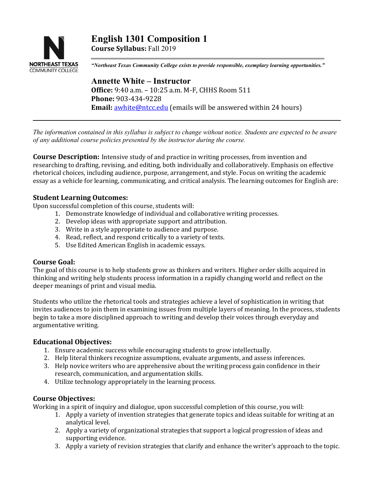

**English 1301 Composition 1 Course Syllabus:** Fall 2019

*"Northeast Texas Community College exists to provide responsible, exemplary learning opportunities."*

# **Annette White – Instructor Office:** 9:40 a.m. – 10:25 a.m. M-F, CHHS Room 511 **Phone:** 903-434-9228 **Email:** [awhite@ntcc.edu](mailto:awhite@ntcc.edu) (emails will be answered within 24 hours)

*The information contained in this syllabus is subject to change without notice. Students are expected to be aware of any additional course policies presented by the instructor during the course.*

**Course Description:** Intensive study of and practice in writing processes, from invention and researching to drafting, revising, and editing, both individually and collaboratively. Emphasis on effective rhetorical choices, including audience, purpose, arrangement, and style. Focus on writing the academic essay as a vehicle for learning, communicating, and critical analysis. The learning outcomes for English are:

### **Student Learning Outcomes:**

Upon successful completion of this course, students will:

- 1. Demonstrate knowledge of individual and collaborative writing processes.
- 2. Develop ideas with appropriate support and attribution.
- 3. Write in a style appropriate to audience and purpose.
- 4. Read, reflect, and respond critically to a variety of texts.
- 5. Use Edited American English in academic essays.

### **Course Goal:**

The goal of this course is to help students grow as thinkers and writers. Higher order skills acquired in thinking and writing help students process information in a rapidly changing world and reflect on the deeper meanings of print and visual media.

Students who utilize the rhetorical tools and strategies achieve a level of sophistication in writing that invites audiences to join them in examining issues from multiple layers of meaning. In the process, students begin to take a more disciplined approach to writing and develop their voices through everyday and argumentative writing.

### **Educational Objectives:**

- 1. Ensure academic success while encouraging students to grow intellectually.
- 2. Help literal thinkers recognize assumptions, evaluate arguments, and assess inferences.
- 3. Help novice writers who are apprehensive about the writing process gain confidence in their research, communication, and argumentation skills.
- 4. Utilize technology appropriately in the learning process.

# **Course Objectives:**

Working in a spirit of inquiry and dialogue, upon successful completion of this course, you will:

- 1. Apply a variety of invention strategies that generate topics and ideas suitable for writing at an analytical level.
- 2. Apply a variety of organizational strategies that support a logical progression of ideas and supporting evidence.
- 3. Apply a variety of revision strategies that clarify and enhance the writer's approach to the topic.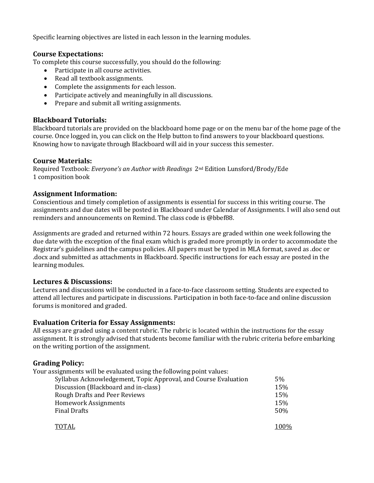Specific learning objectives are listed in each lesson in the learning modules.

# **Course Expectations:**

To complete this course successfully, you should do the following:

- Participate in all course activities.
- Read all textbook assignments.
- Complete the assignments for each lesson.
- Participate actively and meaningfully in all discussions.
- Prepare and submit all writing assignments.

# **Blackboard Tutorials:**

Blackboard tutorials are provided on the blackboard home page or on the menu bar of the home page of the course. Once logged in, you can click on the Help button to find answers to your blackboard questions. Knowing how to navigate through Blackboard will aid in your success this semester.

### **Course Materials:**

Required Textbook: *Everyone's an Author with Readings* 2nd Edition Lunsford/Brody/Ede 1 composition book

### **Assignment Information:**

Conscientious and timely completion of assignments is essential for success in this writing course. The assignments and due dates will be posted in Blackboard under Calendar of Assignments. I will also send out reminders and announcements on Remind. The class code is @bbef88.

Assignments are graded and returned within 72 hours. Essays are graded within one week following the due date with the exception of the final exam which is graded more promptly in order to accommodate the Registrar's guidelines and the campus policies. All papers must be typed in MLA format, saved as .doc or .docx and submitted as attachments in Blackboard. Specific instructions for each essay are posted in the learning modules.

### **Lectures & Discussions:**

Lectures and discussions will be conducted in a face-to-face classroom setting. Students are expected to attend all lectures and participate in discussions. Participation in both face-to-face and online discussion forums is monitored and graded.

### **Evaluation Criteria for Essay Assignments:**

All essays are graded using a content rubric. The rubric is located within the instructions for the essay assignment. It is strongly advised that students become familiar with the rubric criteria before embarking on the writing portion of the assignment.

# **Grading Policy:**

Your assignments will be evaluated using the following point values:

| Syllabus Acknowledgement, Topic Approval, and Course Evaluation | 5%  |
|-----------------------------------------------------------------|-----|
| Discussion (Blackboard and in-class)                            | 15% |
| <b>Rough Drafts and Peer Reviews</b>                            | 15% |
| <b>Homework Assignments</b>                                     | 15% |
| <b>Final Drafts</b>                                             | 50% |
|                                                                 |     |

| <b>TOTAL</b> | 100% |
|--------------|------|
|--------------|------|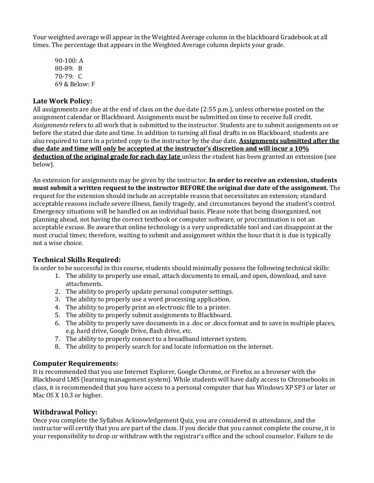Your weighted average will appear in the Weighted Average column in the blackboard Gradebook at all times. The percentage that appears in the Weighted Average column depicts your grade.

90-100: A 80-89: B 70-79: C 69 & Below: F

## **Late Work Policy:**

All assignments are due at the end of class on the due date (2:55 p.m.), unless otherwise posted on the assignment calendar or Blackboard. Assignments must be submitted on time to receive full credit. *Assignments* refers to all work that is submitted to the instructor. Students are to submit assignments on or before the stated due date and time. In addition to turning all final drafts in on Blackboard, students are also required to turn in a printed copy to the instructor by the due date. **Assignments submitted after the due date and time will only be accepted at the instructor's discretion and will incur a 10% deduction of the original grade for each day late** unless the student has been granted an extension (see below).

An extension for assignments may be given by the instructor. **In order to receive an extension, students must submit a written request to the instructor BEFORE the original due date of the assignment.** The request for the extension should include an acceptable reason that necessitates an extension; standard acceptable reasons include severe illness, family tragedy, and circumstances beyond the student's control. Emergency situations will be handled on an individual basis. Please note that being disorganized, not planning ahead, not having the correct textbook or computer software, or procrastination is not an acceptable excuse. Be aware that online technology is a very unpredictable tool and can disappoint at the most crucial times; therefore, waiting to submit and assignment within the hour that it is due is typically not a wise choice.

### **Technical Skills Required:**

In order to be successful in this course, students should minimally possess the following technical skills:

- 1. The ability to properly use email, attach documents to email, and open, download, and save attachments.
- 2. The ability to properly update personal computer settings.
- 3. The ability to properly use a word processing application.
- 4. The ability to properly print an electronic file to a printer.
- 5. The ability to properly submit assignments to Blackboard.
- 6. The ability to properly save documents in a .doc or .docx format and to save in multiple places, e.g. hard drive, Google Drive, flash drive, etc.
- 7. The ability to properly connect to a broadband internet system.
- 8. The ability to properly search for and locate information on the internet.

### **Computer Requirements:**

It is recommended that you use Internet Explorer, Google Chrome, or Firefox as a browser with the Blackboard LMS (learning management system). While students will have daily access to Chromebooks in class, it is recommended that you have access to a personal computer that has Windows XP SP3 or later or Mac OS X 10.3 or higher.

### **Withdrawal Policy:**

Once you complete the Syllabus Acknowledgement Quiz, you are considered in attendance, and the instructor will certify that you are part of the class. If you decide that you cannot complete the course, it is your responsibility to drop or withdraw with the registrar's office and the school counselor. Failure to do